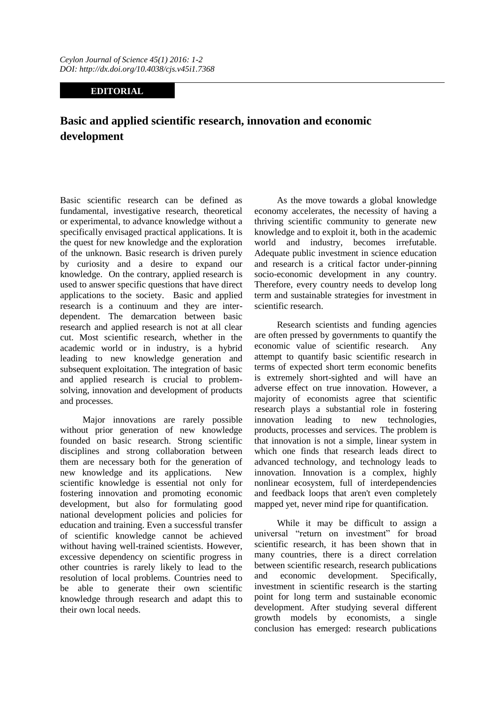## **EDITORIAL**

## **Basic and applied scientific research, innovation and economic development**

Basic scientific research can be defined as fundamental, investigative research, theoretical or experimental, to advance knowledge without a specifically envisaged practical applications. It is the quest for new knowledge and the exploration of the unknown. Basic research is driven purely by curiosity and a desire to expand our knowledge. On the contrary, applied research is used to answer specific questions that have direct applications to the society. Basic and applied research is a continuum and they are interdependent. The demarcation between basic research and applied research is not at all clear cut. Most scientific research, whether in the academic world or in industry, is a hybrid leading to new knowledge generation and subsequent exploitation. The integration of basic and applied research is crucial to problemsolving, innovation and development of products and processes.

Major innovations are rarely possible without prior generation of new knowledge founded on basic research. Strong scientific disciplines and strong collaboration between them are necessary both for the generation of new knowledge and its applications. New scientific knowledge is essential not only for fostering innovation and promoting economic development, but also for formulating good national development policies and policies for education and training. Even a successful transfer of scientific knowledge cannot be achieved without having well-trained scientists. However, excessive dependency on scientific progress in other countries is rarely likely to lead to the resolution of local problems. Countries need to be able to generate their own scientific knowledge through research and adapt this to their own local needs.

As the move towards a global knowledge economy accelerates, the necessity of having a thriving scientific community to generate new knowledge and to exploit it, both in the academic world and industry, becomes irrefutable. Adequate public investment in science education and research is a critical factor under-pinning socio-economic development in any country. Therefore, every country needs to develop long term and sustainable strategies for investment in scientific research.

Research scientists and funding agencies are often pressed by governments to quantify the economic value of scientific research. Any attempt to quantify basic scientific research in terms of expected short term economic benefits is extremely short-sighted and will have an adverse effect on true innovation. However, a majority of economists agree that scientific research plays a substantial role in fostering innovation leading to new technologies, products, processes and services. The problem is that innovation is not a simple, linear system in which one finds that research leads direct to advanced technology, and technology leads to innovation. Innovation is a complex, highly nonlinear ecosystem, full of interdependencies and feedback loops that aren't even completely mapped yet, never mind ripe for quantification.

While it may be difficult to assign a universal "return on investment" for broad scientific research, it has been shown that in many countries, there is a direct correlation between scientific research, research publications and economic development. Specifically, investment in scientific research is the starting point for long term and sustainable economic development. After studying several different growth models by economists, a single conclusion has emerged: research publications